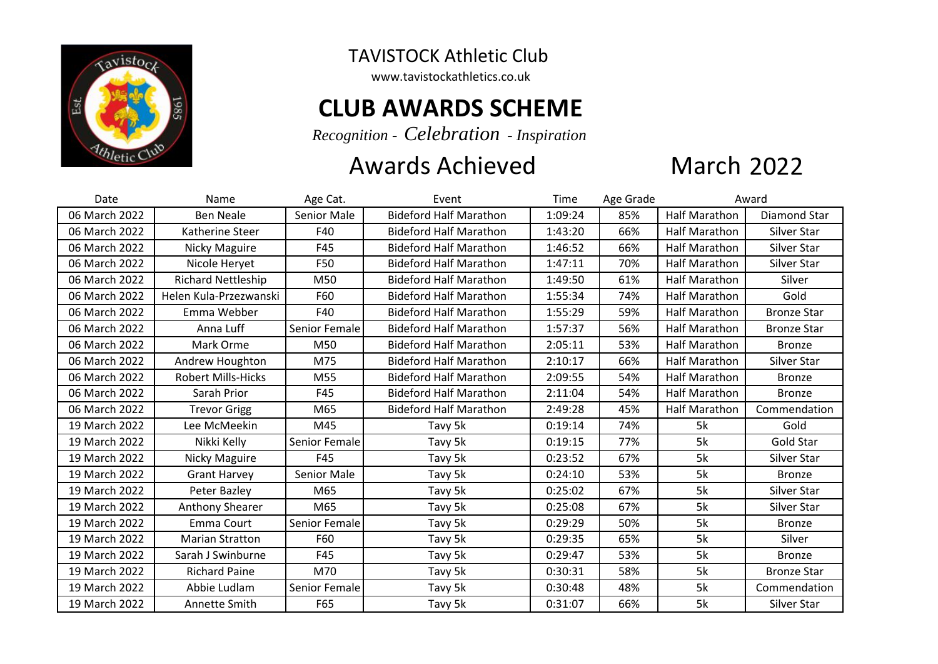

## TAVISTOCK Athletic Club

www.tavistockathletics.co.uk

## **CLUB AWARDS SCHEME**

*Recognition - Celebration - Inspiration*

## Awards Achieved

## **March 2022**

| Date          | Name                      | Age Cat.           | Event                         | Time    | Age Grade | Award                |                    |
|---------------|---------------------------|--------------------|-------------------------------|---------|-----------|----------------------|--------------------|
| 06 March 2022 | <b>Ben Neale</b>          | <b>Senior Male</b> | <b>Bideford Half Marathon</b> | 1:09:24 | 85%       | <b>Half Marathon</b> | Diamond Star       |
| 06 March 2022 | Katherine Steer           | F40                | <b>Bideford Half Marathon</b> | 1:43:20 | 66%       | <b>Half Marathon</b> | Silver Star        |
| 06 March 2022 | Nicky Maguire             | F45                | <b>Bideford Half Marathon</b> | 1:46:52 | 66%       | Half Marathon        | Silver Star        |
| 06 March 2022 | Nicole Heryet             | F50                | <b>Bideford Half Marathon</b> | 1:47:11 | 70%       | <b>Half Marathon</b> | Silver Star        |
| 06 March 2022 | Richard Nettleship        | M50                | <b>Bideford Half Marathon</b> | 1:49:50 | 61%       | <b>Half Marathon</b> | Silver             |
| 06 March 2022 | Helen Kula-Przezwanski    | F60                | <b>Bideford Half Marathon</b> | 1:55:34 | 74%       | <b>Half Marathon</b> | Gold               |
| 06 March 2022 | Emma Webber               | F40                | <b>Bideford Half Marathon</b> | 1:55:29 | 59%       | Half Marathon        | <b>Bronze Star</b> |
| 06 March 2022 | Anna Luff                 | Senior Female      | <b>Bideford Half Marathon</b> | 1:57:37 | 56%       | <b>Half Marathon</b> | <b>Bronze Star</b> |
| 06 March 2022 | Mark Orme                 | M50                | <b>Bideford Half Marathon</b> | 2:05:11 | 53%       | Half Marathon        | <b>Bronze</b>      |
| 06 March 2022 | Andrew Houghton           | M75                | <b>Bideford Half Marathon</b> | 2:10:17 | 66%       | <b>Half Marathon</b> | Silver Star        |
| 06 March 2022 | <b>Robert Mills-Hicks</b> | M55                | <b>Bideford Half Marathon</b> | 2:09:55 | 54%       | <b>Half Marathon</b> | <b>Bronze</b>      |
| 06 March 2022 | Sarah Prior               | F45                | <b>Bideford Half Marathon</b> | 2:11:04 | 54%       | <b>Half Marathon</b> | <b>Bronze</b>      |
| 06 March 2022 | <b>Trevor Grigg</b>       | M65                | <b>Bideford Half Marathon</b> | 2:49:28 | 45%       | <b>Half Marathon</b> | Commendation       |
| 19 March 2022 | Lee McMeekin              | M45                | Tavy 5k                       | 0:19:14 | 74%       | 5k                   | Gold               |
| 19 March 2022 | Nikki Kelly               | Senior Female      | Tavy 5k                       | 0:19:15 | 77%       | 5k                   | Gold Star          |
| 19 March 2022 | <b>Nicky Maguire</b>      | F45                | Tavy 5k                       | 0:23:52 | 67%       | 5k                   | Silver Star        |
| 19 March 2022 | <b>Grant Harvey</b>       | Senior Male        | Tavy 5k                       | 0:24:10 | 53%       | 5k                   | <b>Bronze</b>      |
| 19 March 2022 | Peter Bazley              | M65                | Tavy 5k                       | 0:25:02 | 67%       | 5k                   | Silver Star        |
| 19 March 2022 | <b>Anthony Shearer</b>    | M65                | Tavy 5k                       | 0:25:08 | 67%       | 5k                   | Silver Star        |
| 19 March 2022 | Emma Court                | Senior Female      | Tavy 5k                       | 0:29:29 | 50%       | 5k                   | <b>Bronze</b>      |
| 19 March 2022 | <b>Marian Stratton</b>    | F60                | Tavy 5k                       | 0:29:35 | 65%       | 5k                   | Silver             |
| 19 March 2022 | Sarah J Swinburne         | F45                | Tavy 5k                       | 0:29:47 | 53%       | 5k                   | <b>Bronze</b>      |
| 19 March 2022 | <b>Richard Paine</b>      | M70                | Tavy 5k                       | 0:30:31 | 58%       | 5k                   | <b>Bronze Star</b> |
| 19 March 2022 | Abbie Ludlam              | Senior Female      | Tavy 5k                       | 0:30:48 | 48%       | 5k                   | Commendation       |
| 19 March 2022 | Annette Smith             | F65                | Tavy 5k                       | 0:31:07 | 66%       | 5k                   | Silver Star        |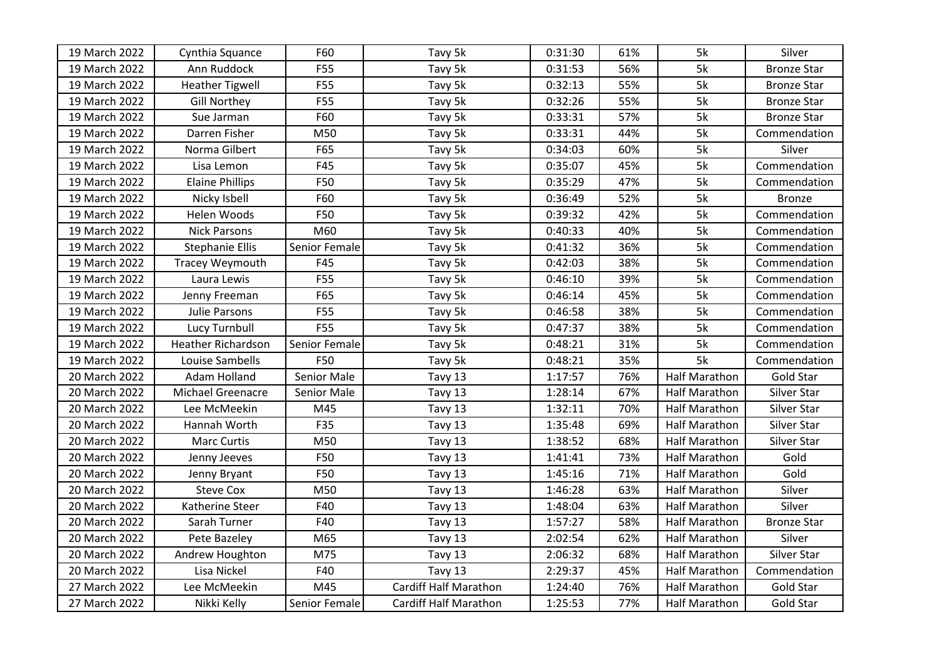| 19 March 2022 | Cynthia Squance          | F60           | Tavy 5k                      | 0:31:30 | 61% | 5k                   | Silver             |
|---------------|--------------------------|---------------|------------------------------|---------|-----|----------------------|--------------------|
| 19 March 2022 | Ann Ruddock              | F55           | Tavy 5k                      | 0:31:53 | 56% | 5k                   | <b>Bronze Star</b> |
| 19 March 2022 | <b>Heather Tigwell</b>   | F55           | Tavy 5k                      | 0:32:13 | 55% | 5k                   | <b>Bronze Star</b> |
| 19 March 2022 | <b>Gill Northey</b>      | F55           | Tavy 5k                      | 0:32:26 | 55% | 5k                   | <b>Bronze Star</b> |
| 19 March 2022 | Sue Jarman               | F60           | Tavy 5k                      | 0:33:31 | 57% | 5k                   | <b>Bronze Star</b> |
| 19 March 2022 | Darren Fisher            | M50           | Tavy 5k                      | 0:33:31 | 44% | 5k                   | Commendation       |
| 19 March 2022 | Norma Gilbert            | F65           | Tavy 5k                      | 0:34:03 | 60% | 5k                   | Silver             |
| 19 March 2022 | Lisa Lemon               | F45           | Tavy 5k                      | 0:35:07 | 45% | 5k                   | Commendation       |
| 19 March 2022 | <b>Elaine Phillips</b>   | F50           | Tavy 5k                      | 0:35:29 | 47% | 5k                   | Commendation       |
| 19 March 2022 | Nicky Isbell             | F60           | Tavy 5k                      | 0:36:49 | 52% | 5k                   | <b>Bronze</b>      |
| 19 March 2022 | Helen Woods              | F50           | Tavy 5k                      | 0:39:32 | 42% | 5k                   | Commendation       |
| 19 March 2022 | <b>Nick Parsons</b>      | M60           | Tavy 5k                      | 0:40:33 | 40% | 5k                   | Commendation       |
| 19 March 2022 | <b>Stephanie Ellis</b>   | Senior Female | Tavy 5k                      | 0:41:32 | 36% | 5k                   | Commendation       |
| 19 March 2022 | <b>Tracey Weymouth</b>   | F45           | Tavy 5k                      | 0:42:03 | 38% | 5k                   | Commendation       |
| 19 March 2022 | Laura Lewis              | F55           | Tavy 5k                      | 0:46:10 | 39% | 5k                   | Commendation       |
| 19 March 2022 | Jenny Freeman            | F65           | Tavy 5k                      | 0:46:14 | 45% | 5k                   | Commendation       |
| 19 March 2022 | Julie Parsons            | F55           | Tavy 5k                      | 0:46:58 | 38% | 5k                   | Commendation       |
| 19 March 2022 | Lucy Turnbull            | F55           | Tavy 5k                      | 0:47:37 | 38% | 5k                   | Commendation       |
| 19 March 2022 | Heather Richardson       | Senior Female | Tavy 5k                      | 0:48:21 | 31% | 5k                   | Commendation       |
| 19 March 2022 | Louise Sambells          | F50           | Tavy 5k                      | 0:48:21 | 35% | 5k                   | Commendation       |
| 20 March 2022 | Adam Holland             | Senior Male   | Tavy 13                      | 1:17:57 | 76% | <b>Half Marathon</b> | Gold Star          |
| 20 March 2022 | <b>Michael Greenacre</b> | Senior Male   | Tavy 13                      | 1:28:14 | 67% | <b>Half Marathon</b> | Silver Star        |
| 20 March 2022 | Lee McMeekin             | M45           | Tavy 13                      | 1:32:11 | 70% | <b>Half Marathon</b> | Silver Star        |
| 20 March 2022 | Hannah Worth             | F35           | Tavy 13                      | 1:35:48 | 69% | <b>Half Marathon</b> | Silver Star        |
| 20 March 2022 | <b>Marc Curtis</b>       | M50           | Tavy 13                      | 1:38:52 | 68% | <b>Half Marathon</b> | Silver Star        |
| 20 March 2022 | Jenny Jeeves             | F50           | Tavy 13                      | 1:41:41 | 73% | <b>Half Marathon</b> | Gold               |
| 20 March 2022 | Jenny Bryant             | F50           | Tavy 13                      | 1:45:16 | 71% | <b>Half Marathon</b> | Gold               |
| 20 March 2022 | <b>Steve Cox</b>         | M50           | Tavy 13                      | 1:46:28 | 63% | <b>Half Marathon</b> | Silver             |
| 20 March 2022 | Katherine Steer          | F40           | Tavy 13                      | 1:48:04 | 63% | <b>Half Marathon</b> | Silver             |
| 20 March 2022 | Sarah Turner             | F40           | Tavy 13                      | 1:57:27 | 58% | <b>Half Marathon</b> | <b>Bronze Star</b> |
| 20 March 2022 | Pete Bazeley             | M65           | Tavy 13                      | 2:02:54 | 62% | <b>Half Marathon</b> | Silver             |
| 20 March 2022 | Andrew Houghton          | M75           | Tavy 13                      | 2:06:32 | 68% | <b>Half Marathon</b> | Silver Star        |
| 20 March 2022 | Lisa Nickel              | F40           | Tavy 13                      | 2:29:37 | 45% | <b>Half Marathon</b> | Commendation       |
| 27 March 2022 | Lee McMeekin             | M45           | Cardiff Half Marathon        | 1:24:40 | 76% | <b>Half Marathon</b> | <b>Gold Star</b>   |
| 27 March 2022 | Nikki Kelly              | Senior Female | <b>Cardiff Half Marathon</b> | 1:25:53 | 77% | <b>Half Marathon</b> | Gold Star          |